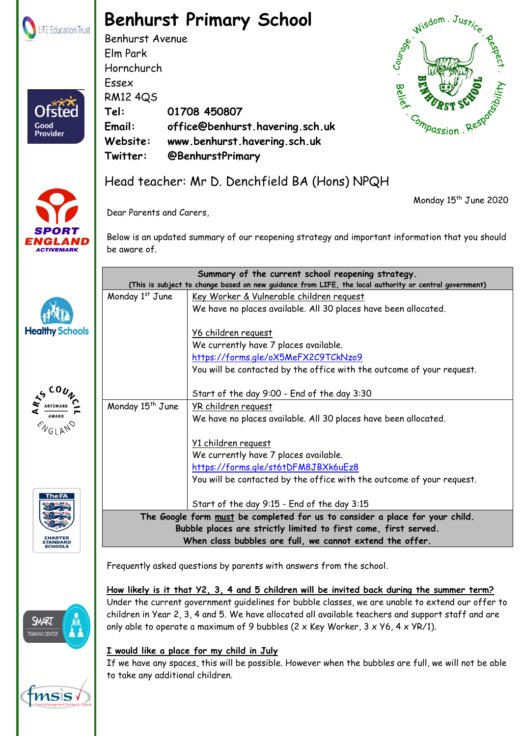

Ofsted

Good Provider

# **Benhurst Primary School**

Benhurst Avenue Elm Park Hornchurch Essex RM12 4QS **Tel: 01708 450807 Email: office@benhurst.havering.sch.uk Website: www.benhurst.havering.sch.uk Twitter: @BenhurstPrimary**



Monday 15<sup>th</sup> June 2020



**Healthy** 

 $AR_{2}$ 

**SMART TRAINING CENTE** 

**MSS** 

### Head teacher: Mr D. Denchfield BA (Hons) NPQH

Dear Parents and Carers,

Below is an updated summary of our reopening strategy and important information that you should be aware of.

|                               | Summary of the current school reopening strategy.<br>(This is subject to change based on new guidance from LIFE, the local authority or central government) |                                                                       |
|-------------------------------|-------------------------------------------------------------------------------------------------------------------------------------------------------------|-----------------------------------------------------------------------|
|                               | Monday 1st June                                                                                                                                             | <u>Key Worker &amp; Vulnerable children request</u>                   |
|                               |                                                                                                                                                             | We have no places available. All 30 places have been allocated.       |
| althy Schools                 |                                                                                                                                                             | Y6 children request                                                   |
|                               |                                                                                                                                                             | We currently have 7 places available.                                 |
|                               |                                                                                                                                                             | https://forms.gle/oX5MeFX2C9TCkNzo9                                   |
|                               |                                                                                                                                                             | You will be contacted by the office with the outcome of your request. |
|                               |                                                                                                                                                             | Start of the day 9:00 - End of the day 3:30                           |
| <b>ARTSMARK</b>               | Monday 15 <sup>th</sup> June                                                                                                                                | YR children request                                                   |
| AWARD<br>$\epsilon_{N_{GIR}}$ |                                                                                                                                                             | We have no places available. All 30 places have been allocated.       |
|                               |                                                                                                                                                             | Y1 children request                                                   |
|                               |                                                                                                                                                             | We currently have 7 places available.                                 |
|                               |                                                                                                                                                             | https://forms.gle/st6tDFM8JBXk6uEz8                                   |
|                               |                                                                                                                                                             | You will be contacted by the office with the outcome of your request. |
| The FA                        |                                                                                                                                                             | Start of the day 9:15 - End of the day 3:15                           |
|                               | The Google form must be completed for us to consider a place for your child.                                                                                |                                                                       |
|                               | Bubble places are strictly limited to first come, first served.                                                                                             |                                                                       |
|                               | When class bubbles are full, we cannot extend the offer.                                                                                                    |                                                                       |

Frequently asked questions by parents with answers from the school.

Benhurst Primary School part of LIFE Education Trust. Registered in England & Wales. Company Number: 08102628

**How likely is it that Y2, 3, 4 and 5 children will be invited back during the summer term?** Under the current government guidelines for bubble classes, we are unable to extend our offer to children in Year 2, 3, 4 and 5. We have allocated all available teachers and support staff and are only able to operate a maximum of 9 bubbles (2 x Key Worker,  $3 \times 96$ ,  $4 \times 9R/1$ ).

#### **I would like a place for my child in July**

If we have any spaces, this will be possible. However when the bubbles are full, we will not be able to take any additional children.